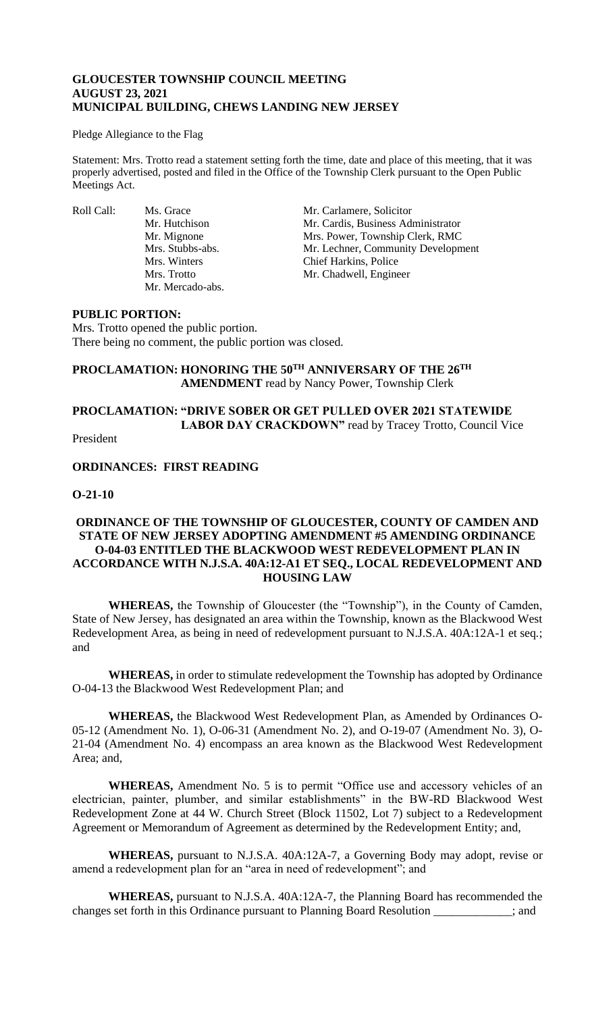### **GLOUCESTER TOWNSHIP COUNCIL MEETING AUGUST 23, 2021 MUNICIPAL BUILDING, CHEWS LANDING NEW JERSEY**

#### Pledge Allegiance to the Flag

Statement: Mrs. Trotto read a statement setting forth the time, date and place of this meeting, that it was properly advertised, posted and filed in the Office of the Township Clerk pursuant to the Open Public Meetings Act.

Roll Call: Ms. Grace Mr. Carlamere, Solicitor<br>Mr. Hutchison Mr. Cardis, Business Adı Mr. Mercado-abs.

Mr. Cardis, Business Administrator Mr. Mignone Mrs. Power, Township Clerk, RMC Mrs. Stubbs-abs. Mr. Lechner, Community Development Mrs. Winters Chief Harkins, Police Mrs. Trotto Mr. Chadwell, Engineer

### **PUBLIC PORTION:**

Mrs. Trotto opened the public portion. There being no comment, the public portion was closed.

# **PROCLAMATION: HONORING THE 50TH ANNIVERSARY OF THE 26TH AMENDMENT** read by Nancy Power, Township Clerk

# **PROCLAMATION: "DRIVE SOBER OR GET PULLED OVER 2021 STATEWIDE**  LABOR DAY CRACKDOWN" read by Tracey Trotto, Council Vice

President

# **ORDINANCES: FIRST READING**

### **O-21-10**

# **ORDINANCE OF THE TOWNSHIP OF GLOUCESTER, COUNTY OF CAMDEN AND STATE OF NEW JERSEY ADOPTING AMENDMENT #5 AMENDING ORDINANCE O-04-03 ENTITLED THE BLACKWOOD WEST REDEVELOPMENT PLAN IN ACCORDANCE WITH N.J.S.A. 40A:12-A1 ET SEQ., LOCAL REDEVELOPMENT AND HOUSING LAW**

**WHEREAS,** the Township of Gloucester (the "Township"), in the County of Camden, State of New Jersey, has designated an area within the Township, known as the Blackwood West Redevelopment Area, as being in need of redevelopment pursuant to N.J.S.A. 40A:12A-1 et seq*.*; and

**WHEREAS,** in order to stimulate redevelopment the Township has adopted by Ordinance O-04-13 the Blackwood West Redevelopment Plan; and

**WHEREAS,** the Blackwood West Redevelopment Plan, as Amended by Ordinances O-05-12 (Amendment No. 1), O-06-31 (Amendment No. 2), and O-19-07 (Amendment No. 3), O-21-04 (Amendment No. 4) encompass an area known as the Blackwood West Redevelopment Area; and,

**WHEREAS,** Amendment No. 5 is to permit "Office use and accessory vehicles of an electrician, painter, plumber, and similar establishments" in the BW-RD Blackwood West Redevelopment Zone at 44 W. Church Street (Block 11502, Lot 7) subject to a Redevelopment Agreement or Memorandum of Agreement as determined by the Redevelopment Entity; and,

**WHEREAS,** pursuant to N.J.S.A. 40A:12A-7, a Governing Body may adopt, revise or amend a redevelopment plan for an "area in need of redevelopment"; and

**WHEREAS,** pursuant to N.J.S.A. 40A:12A-7, the Planning Board has recommended the changes set forth in this Ordinance pursuant to Planning Board Resolution \_\_\_\_\_\_\_\_\_\_\_\_\_; and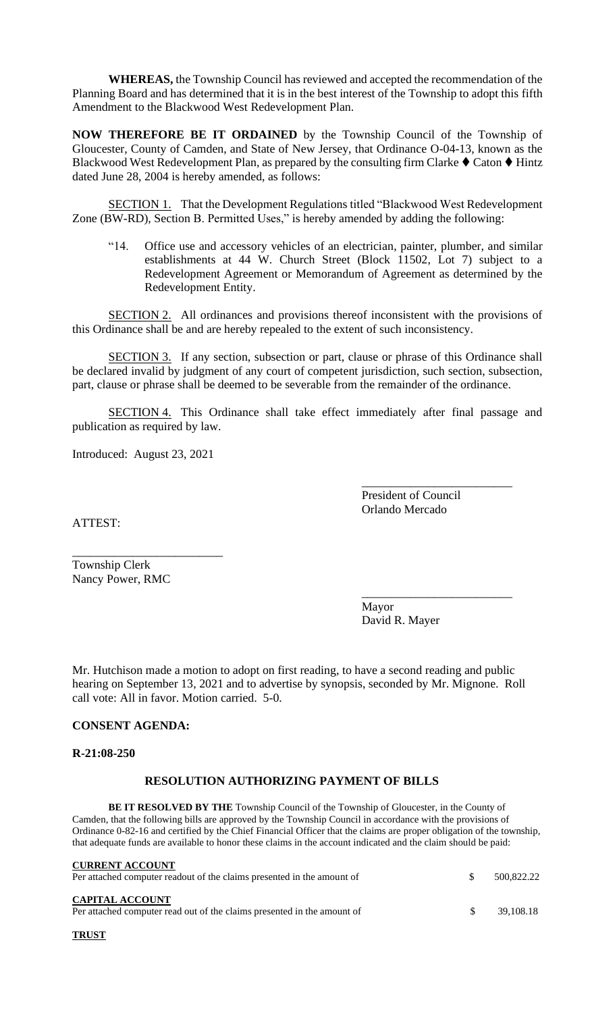**WHEREAS,** the Township Council has reviewed and accepted the recommendation of the Planning Board and has determined that it is in the best interest of the Township to adopt this fifth Amendment to the Blackwood West Redevelopment Plan.

**NOW THEREFORE BE IT ORDAINED** by the Township Council of the Township of Gloucester, County of Camden, and State of New Jersey, that Ordinance O-04-13, known as the Blackwood West Redevelopment Plan, as prepared by the consulting firm Clarke  $\blacklozenge$  Caton  $\blacklozenge$  Hintz dated June 28, 2004 is hereby amended, as follows:

SECTION 1. That the Development Regulations titled "Blackwood West Redevelopment Zone (BW-RD), Section B. Permitted Uses," is hereby amended by adding the following:

"14. Office use and accessory vehicles of an electrician, painter, plumber, and similar establishments at 44 W. Church Street (Block 11502, Lot 7) subject to a Redevelopment Agreement or Memorandum of Agreement as determined by the Redevelopment Entity.

SECTION 2. All ordinances and provisions thereof inconsistent with the provisions of this Ordinance shall be and are hereby repealed to the extent of such inconsistency.

SECTION 3. If any section, subsection or part, clause or phrase of this Ordinance shall be declared invalid by judgment of any court of competent jurisdiction, such section, subsection, part, clause or phrase shall be deemed to be severable from the remainder of the ordinance.

SECTION 4. This Ordinance shall take effect immediately after final passage and publication as required by law.

Introduced: August 23, 2021

President of Council Orlando Mercado

\_\_\_\_\_\_\_\_\_\_\_\_\_\_\_\_\_\_\_\_\_\_\_\_\_

\_\_\_\_\_\_\_\_\_\_\_\_\_\_\_\_\_\_\_\_\_\_\_\_\_

ATTEST:

\_\_\_\_\_\_\_\_\_\_\_\_\_\_\_\_\_\_\_\_\_\_\_\_\_ Township Clerk Nancy Power, RMC

> Mayor David R. Mayer

Mr. Hutchison made a motion to adopt on first reading, to have a second reading and public hearing on September 13, 2021 and to advertise by synopsis, seconded by Mr. Mignone. Roll call vote: All in favor. Motion carried. 5-0.

### **CONSENT AGENDA:**

**R-21:08-250**

### **RESOLUTION AUTHORIZING PAYMENT OF BILLS**

**BE IT RESOLVED BY THE** Township Council of the Township of Gloucester, in the County of Camden, that the following bills are approved by the Township Council in accordance with the provisions of Ordinance 0-82-16 and certified by the Chief Financial Officer that the claims are proper obligation of the township, that adequate funds are available to honor these claims in the account indicated and the claim should be paid:

| <b>CURRENT ACCOUNT</b><br>Per attached computer readout of the claims presented in the amount of  |     | 500,822.22 |
|---------------------------------------------------------------------------------------------------|-----|------------|
| <b>CAPITAL ACCOUNT</b><br>Per attached computer read out of the claims presented in the amount of | SS. | 39.108.18  |

**TRUST**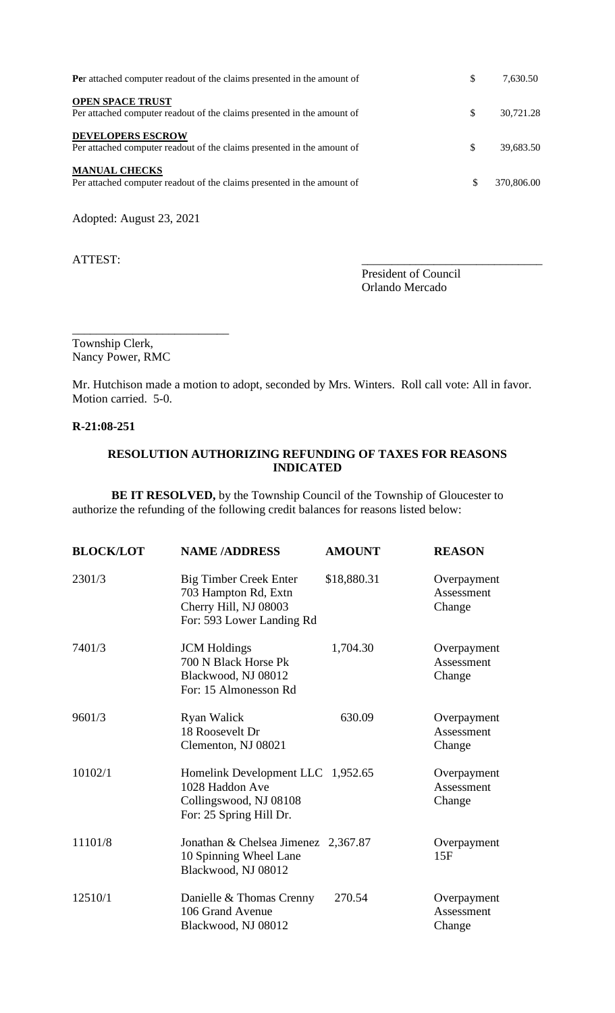| Per attached computer readout of the claims presented in the amount of                             | \$ | 7,630.50   |
|----------------------------------------------------------------------------------------------------|----|------------|
| <b>OPEN SPACE TRUST</b><br>Per attached computer readout of the claims presented in the amount of  | S  | 30,721.28  |
| <b>DEVELOPERS ESCROW</b><br>Per attached computer readout of the claims presented in the amount of | S  | 39,683.50  |
| <b>MANUAL CHECKS</b><br>Per attached computer readout of the claims presented in the amount of     | \$ | 370,806.00 |

Adopted: August 23, 2021

ATTEST:

President of Council Orlando Mercado

Township Clerk, Nancy Power, RMC

\_\_\_\_\_\_\_\_\_\_\_\_\_\_\_\_\_\_\_\_\_\_\_\_\_\_

Mr. Hutchison made a motion to adopt, seconded by Mrs. Winters. Roll call vote: All in favor. Motion carried. 5-0.

# **R-21:08-251**

# **RESOLUTION AUTHORIZING REFUNDING OF TAXES FOR REASONS INDICATED**

**BE IT RESOLVED,** by the Township Council of the Township of Gloucester to authorize the refunding of the following credit balances for reasons listed below:

| <b>BLOCK/LOT</b> | <b>NAME /ADDRESS</b>                                                                                        | <b>AMOUNT</b> | <b>REASON</b>                       |
|------------------|-------------------------------------------------------------------------------------------------------------|---------------|-------------------------------------|
| 2301/3           | <b>Big Timber Creek Enter</b><br>703 Hampton Rd, Extn<br>Cherry Hill, NJ 08003<br>For: 593 Lower Landing Rd | \$18,880.31   | Overpayment<br>Assessment<br>Change |
| 7401/3           | <b>JCM</b> Holdings<br>700 N Black Horse Pk<br>Blackwood, NJ 08012<br>For: 15 Almonesson Rd                 | 1,704.30      | Overpayment<br>Assessment<br>Change |
| 9601/3           | <b>Ryan Walick</b><br>18 Roosevelt Dr<br>Clementon, NJ 08021                                                | 630.09        | Overpayment<br>Assessment<br>Change |
| 10102/1          | Homelink Development LLC 1,952.65<br>1028 Haddon Ave<br>Collingswood, NJ 08108<br>For: 25 Spring Hill Dr.   |               | Overpayment<br>Assessment<br>Change |
| 11101/8          | Jonathan & Chelsea Jimenez 2,367.87<br>10 Spinning Wheel Lane<br>Blackwood, NJ 08012                        |               | Overpayment<br>15F                  |
| 12510/1          | Danielle & Thomas Crenny<br>106 Grand Avenue<br>Blackwood, NJ 08012                                         | 270.54        | Overpayment<br>Assessment<br>Change |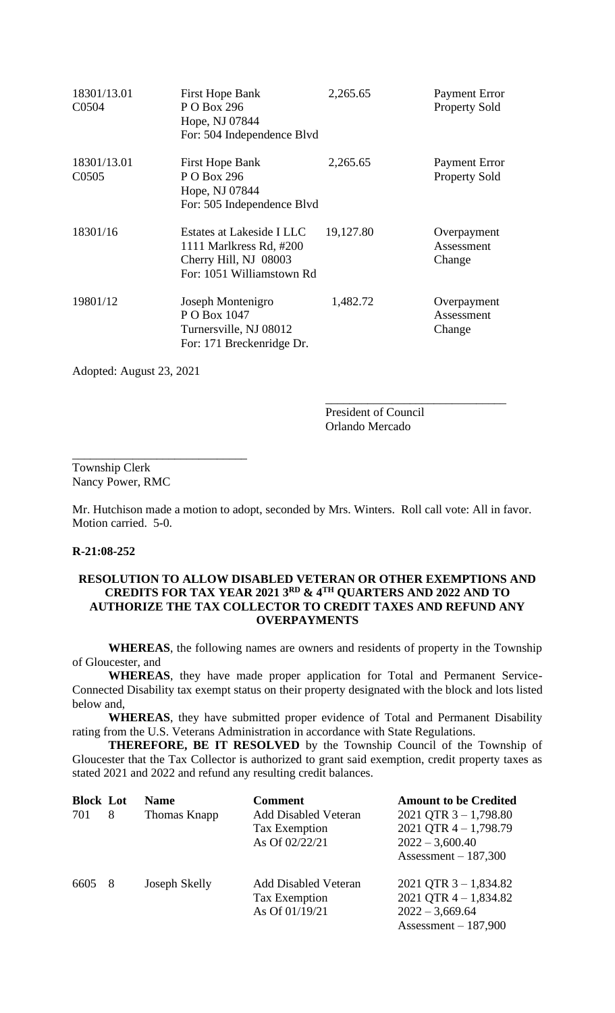| 18301/13.01<br>C0504              | <b>First Hope Bank</b><br>P O Box 296<br>Hope, NJ 07844<br>For: 504 Independence Blvd                      | 2,265.65  | <b>Payment Error</b><br><b>Property Sold</b> |
|-----------------------------------|------------------------------------------------------------------------------------------------------------|-----------|----------------------------------------------|
| 18301/13.01<br>C <sub>05</sub> 05 | <b>First Hope Bank</b><br>P O Box 296<br>Hope, NJ 07844<br>For: 505 Independence Blvd                      | 2,265.65  | Payment Error<br><b>Property Sold</b>        |
| 18301/16                          | Estates at Lakeside I LLC<br>1111 Marlkress Rd, #200<br>Cherry Hill, NJ 08003<br>For: 1051 Williamstown Rd | 19,127.80 | Overpayment<br>Assessment<br>Change          |
| 19801/12                          | Joseph Montenigro<br>P O Box 1047<br>Turnersville, NJ 08012<br>For: 171 Breckenridge Dr.                   | 1,482.72  | Overpayment<br>Assessment<br>Change          |

Adopted: August 23, 2021

\_\_\_\_\_\_\_\_\_\_\_\_\_\_\_\_\_\_\_\_\_\_\_\_\_\_\_\_\_

President of Council Orlando Mercado

\_\_\_\_\_\_\_\_\_\_\_\_\_\_\_\_\_\_\_\_\_\_\_\_\_\_\_\_\_\_

Township Clerk Nancy Power, RMC

Mr. Hutchison made a motion to adopt, seconded by Mrs. Winters. Roll call vote: All in favor. Motion carried. 5-0.

### **R-21:08-252**

# **RESOLUTION TO ALLOW DISABLED VETERAN OR OTHER EXEMPTIONS AND CREDITS FOR TAX YEAR 2021 3RD & 4TH QUARTERS AND 2022 AND TO AUTHORIZE THE TAX COLLECTOR TO CREDIT TAXES AND REFUND ANY OVERPAYMENTS**

**WHEREAS**, the following names are owners and residents of property in the Township of Gloucester, and

**WHEREAS**, they have made proper application for Total and Permanent Service-Connected Disability tax exempt status on their property designated with the block and lots listed below and,

**WHEREAS**, they have submitted proper evidence of Total and Permanent Disability rating from the U.S. Veterans Administration in accordance with State Regulations.

**THEREFORE, BE IT RESOLVED** by the Township Council of the Township of Gloucester that the Tax Collector is authorized to grant said exemption, credit property taxes as stated 2021 and 2022 and refund any resulting credit balances.

| <b>Block Lot</b> |     | <b>Name</b>   | <b>Comment</b>              | <b>Amount to be Credited</b> |
|------------------|-----|---------------|-----------------------------|------------------------------|
| 701              | 8   | Thomas Knapp  | <b>Add Disabled Veteran</b> | 2021 QTR $3 - 1,798.80$      |
|                  |     |               | Tax Exemption               | 2021 QTR $4 - 1,798.79$      |
|                  |     |               | As Of 02/22/21              | $2022 - 3,600.40$            |
|                  |     |               |                             | Assessment $-187,300$        |
| 6605             | - 8 | Joseph Skelly | <b>Add Disabled Veteran</b> | 2021 QTR $3 - 1,834.82$      |
|                  |     |               | Tax Exemption               | 2021 QTR $4 - 1,834.82$      |
|                  |     |               | As Of 01/19/21              | $2022 - 3,669.64$            |
|                  |     |               |                             | Assessment $-187,900$        |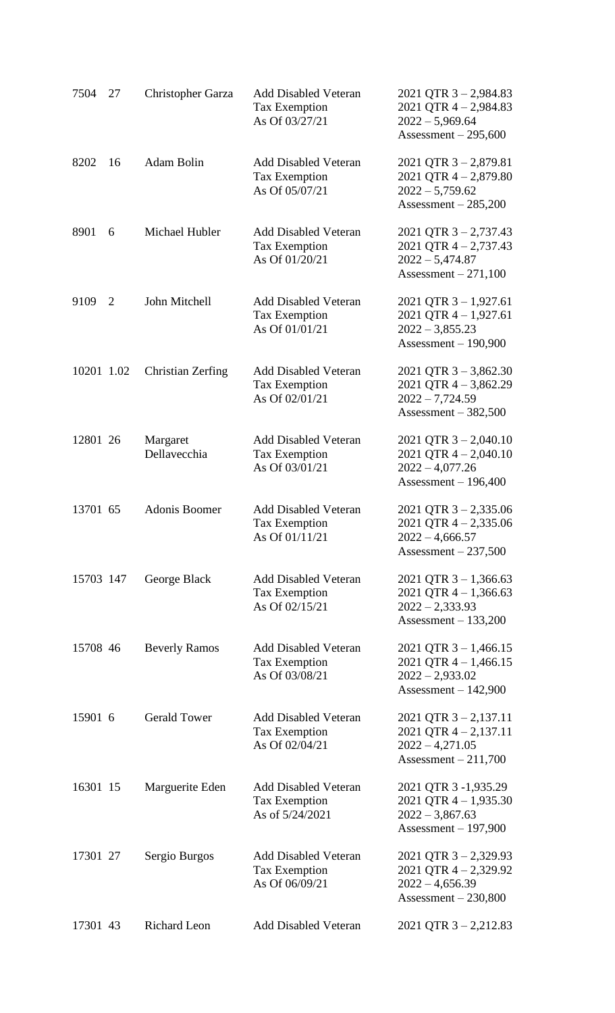| 7504       | 27 | Christopher Garza        | <b>Add Disabled Veteran</b><br><b>Tax Exemption</b><br>As Of 03/27/21  | 2021 QTR $3 - 2,984.83$<br>$2021$ QTR $4 - 2,984.83$<br>$2022 - 5,969.64$<br>Assessment $-295,600$   |
|------------|----|--------------------------|------------------------------------------------------------------------|------------------------------------------------------------------------------------------------------|
| 8202       | 16 | Adam Bolin               | <b>Add Disabled Veteran</b><br>Tax Exemption<br>As Of 05/07/21         | $2021$ QTR 3 - 2,879.81<br>$2021$ QTR $4 - 2,879.80$<br>$2022 - 5,759.62$<br>Assessment $-285,200$   |
| 8901       | 6  | Michael Hubler           | <b>Add Disabled Veteran</b><br><b>Tax Exemption</b><br>As Of 01/20/21  | 2021 QTR $3 - 2,737.43$<br>$2021$ QTR $4 - 2,737.43$<br>$2022 - 5,474.87$<br>Assessment $-271,100$   |
| 9109       | 2  | John Mitchell            | <b>Add Disabled Veteran</b><br><b>Tax Exemption</b><br>As Of 01/01/21  | 2021 QTR $3 - 1,927.61$<br>$2021$ QTR $4 - 1,927.61$<br>$2022 - 3,855.23$<br>$Assessment - 190,900$  |
| 10201 1.02 |    | Christian Zerfing        | <b>Add Disabled Veteran</b><br><b>Tax Exemption</b><br>As Of 02/01/21  | 2021 QTR $3 - 3,862.30$<br>$2021$ QTR 4 - 3,862.29<br>$2022 - 7,724.59$<br>Assessment $-382,500$     |
| 12801 26   |    | Margaret<br>Dellavecchia | <b>Add Disabled Veteran</b><br><b>Tax Exemption</b><br>As Of 03/01/21  | $2021$ QTR 3 - 2,040.10<br>$2021$ QTR $4 - 2,040.10$<br>$2022 - 4,077.26$<br>Assessment $-196,400$   |
| 13701 65   |    | Adonis Boomer            | <b>Add Disabled Veteran</b><br><b>Tax Exemption</b><br>As Of 01/11/21  | $2021$ QTR 3 - 2,335.06<br>2021 QTR $4 - 2,335.06$<br>$2022 - 4,666.57$<br>Assessment $-237,500$     |
| 15703 147  |    | George Black             | <b>Add Disabled Veteran</b><br><b>Tax Exemption</b><br>As Of 02/15/21  | 2021 QTR $3 - 1,366.63$<br>2021 QTR $4 - 1,366.63$<br>$2022 - 2333.93$<br>Assessment $-133,200$      |
| 15708 46   |    | <b>Beverly Ramos</b>     | <b>Add Disabled Veteran</b><br><b>Tax Exemption</b><br>As Of 03/08/21  | $2021$ QTR $3 - 1,466.15$<br>2021 QTR $4 - 1,466.15$<br>$2022 - 2,933.02$<br>Assessment $-142,900$   |
| 15901 6    |    | <b>Gerald Tower</b>      | <b>Add Disabled Veteran</b><br>Tax Exemption<br>As Of 02/04/21         | $2021$ QTR $3 - 2,137.11$<br>$2021$ QTR $4 - 2,137.11$<br>$2022 - 4,271.05$<br>Assessment $-211,700$ |
| 16301 15   |    | Marguerite Eden          | <b>Add Disabled Veteran</b><br><b>Tax Exemption</b><br>As of 5/24/2021 | 2021 QTR 3 -1,935.29<br>$2021$ QTR $4 - 1,935.30$<br>$2022 - 3,867.63$<br>Assessment $-197,900$      |
| 17301 27   |    | Sergio Burgos            | <b>Add Disabled Veteran</b><br><b>Tax Exemption</b><br>As Of 06/09/21  | $2021$ QTR 3 - 2,329.93<br>$2021$ QTR $4 - 2,329.92$<br>$2022 - 4,656.39$<br>Assessment $-230,800$   |
| 17301 43   |    | <b>Richard Leon</b>      | <b>Add Disabled Veteran</b>                                            | $2021$ QTR 3 - 2,212.83                                                                              |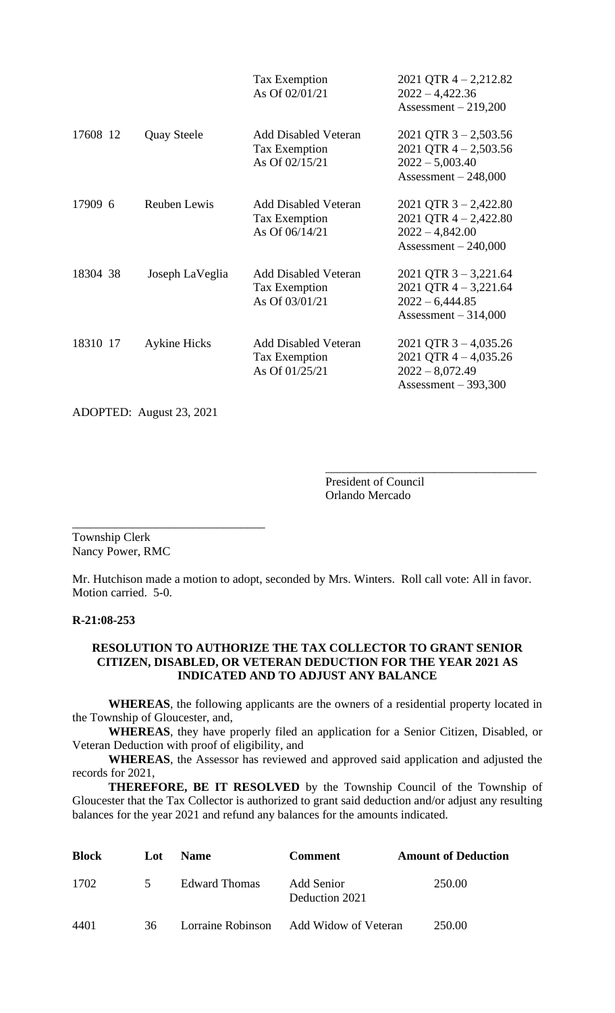|          |                     | Tax Exemption<br>As Of 02/01/21                                       | $2021$ QTR $4 - 2,212.82$<br>$2022 - 4,422.36$<br>Assessment $-219,200$                          |
|----------|---------------------|-----------------------------------------------------------------------|--------------------------------------------------------------------------------------------------|
| 17608 12 | <b>Quay Steele</b>  | <b>Add Disabled Veteran</b><br><b>Tax Exemption</b><br>As Of 02/15/21 | 2021 QTR $3 - 2,503.56$<br>2021 QTR $4 - 2,503.56$<br>$2022 - 5,003.40$<br>Assessment $-248,000$ |
| 17909 6  | <b>Reuben Lewis</b> | <b>Add Disabled Veteran</b><br>Tax Exemption<br>As Of 06/14/21        | 2021 QTR $3 - 2,422.80$<br>2021 QTR $4 - 2,422.80$<br>$2022 - 4,842.00$<br>Assessment $-240,000$ |
| 18304 38 | Joseph LaVeglia     | <b>Add Disabled Veteran</b><br>Tax Exemption<br>As Of 03/01/21        | $2021$ QTR 3 - 3,221.64<br>2021 QTR $4 - 3,221.64$<br>$2022 - 6,444.85$<br>Assessment $-314,000$ |
| 18310 17 | <b>Aykine Hicks</b> | <b>Add Disabled Veteran</b><br>Tax Exemption<br>As Of 01/25/21        | 2021 QTR $3 - 4,035.26$<br>2021 QTR $4 - 4,035.26$<br>$2022 - 8,072.49$<br>Assessment $-393,300$ |

ADOPTED: August 23, 2021

\_\_\_\_\_\_\_\_\_\_\_\_\_\_\_\_\_\_\_\_\_\_\_\_\_\_\_\_\_\_\_\_

President of Council Orlando Mercado

\_\_\_\_\_\_\_\_\_\_\_\_\_\_\_\_\_\_\_\_\_\_\_\_\_\_\_\_\_\_\_\_\_\_\_

Township Clerk Nancy Power, RMC

Mr. Hutchison made a motion to adopt, seconded by Mrs. Winters. Roll call vote: All in favor. Motion carried. 5-0.

## **R-21:08-253**

## **RESOLUTION TO AUTHORIZE THE TAX COLLECTOR TO GRANT SENIOR CITIZEN, DISABLED, OR VETERAN DEDUCTION FOR THE YEAR 2021 AS INDICATED AND TO ADJUST ANY BALANCE**

**WHEREAS**, the following applicants are the owners of a residential property located in the Township of Gloucester, and,

**WHEREAS**, they have properly filed an application for a Senior Citizen, Disabled, or Veteran Deduction with proof of eligibility, and

**WHEREAS**, the Assessor has reviewed and approved said application and adjusted the records for 2021,

 **THEREFORE, BE IT RESOLVED** by the Township Council of the Township of Gloucester that the Tax Collector is authorized to grant said deduction and/or adjust any resulting balances for the year 2021 and refund any balances for the amounts indicated.

| <b>Block</b> | Lot           | <b>Name</b>   | <b>Comment</b>                         | <b>Amount of Deduction</b> |
|--------------|---------------|---------------|----------------------------------------|----------------------------|
| 1702         | $\mathcal{L}$ | Edward Thomas | Add Senior<br>Deduction 2021           | 250.00                     |
| 4401         | 36.           |               | Lorraine Robinson Add Widow of Veteran | 250.00                     |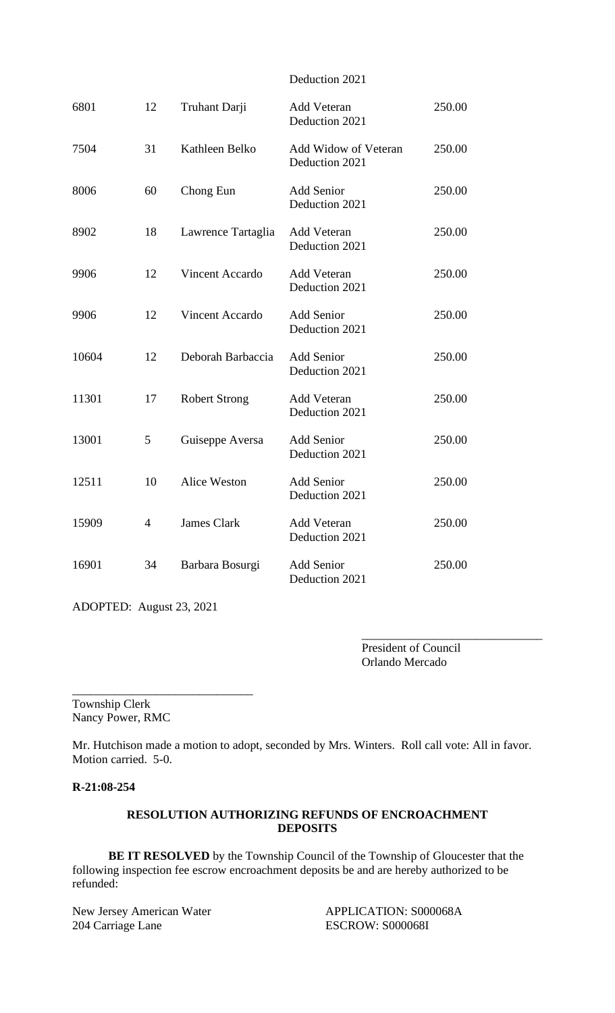### Deduction 2021

| 6801  | 12             | Truhant Darji          | <b>Add Veteran</b><br>Deduction 2021   | 250.00 |
|-------|----------------|------------------------|----------------------------------------|--------|
| 7504  | 31             | Kathleen Belko         | Add Widow of Veteran<br>Deduction 2021 | 250.00 |
| 8006  | 60             | Chong Eun              | <b>Add Senior</b><br>Deduction 2021    | 250.00 |
| 8902  | 18             | Lawrence Tartaglia     | <b>Add Veteran</b><br>Deduction 2021   | 250.00 |
| 9906  | 12             | <b>Vincent Accardo</b> | Add Veteran<br>Deduction 2021          | 250.00 |
| 9906  | 12             | <b>Vincent Accardo</b> | <b>Add Senior</b><br>Deduction 2021    | 250.00 |
| 10604 | 12             | Deborah Barbaccia      | <b>Add Senior</b><br>Deduction 2021    | 250.00 |
| 11301 | 17             | <b>Robert Strong</b>   | Add Veteran<br>Deduction 2021          | 250.00 |
| 13001 | 5              | Guiseppe Aversa        | <b>Add Senior</b><br>Deduction 2021    | 250.00 |
| 12511 | 10             | <b>Alice Weston</b>    | <b>Add Senior</b><br>Deduction 2021    | 250.00 |
| 15909 | $\overline{4}$ | <b>James Clark</b>     | Add Veteran<br>Deduction 2021          | 250.00 |
| 16901 | 34             | Barbara Bosurgi        | <b>Add Senior</b><br>Deduction 2021    | 250.00 |

ADOPTED: August 23, 2021

\_\_\_\_\_\_\_\_\_\_\_\_\_\_\_\_\_\_\_\_\_\_\_\_\_\_\_\_\_\_

President of Council Orlando Mercado

\_\_\_\_\_\_\_\_\_\_\_\_\_\_\_\_\_\_\_\_\_\_\_\_\_\_\_\_\_\_

Township Clerk Nancy Power, RMC

Mr. Hutchison made a motion to adopt, seconded by Mrs. Winters. Roll call vote: All in favor. Motion carried. 5-0.

### **R-21:08-254**

### **RESOLUTION AUTHORIZING REFUNDS OF ENCROACHMENT DEPOSITS**

**BE IT RESOLVED** by the Township Council of the Township of Gloucester that the following inspection fee escrow encroachment deposits be and are hereby authorized to be refunded:

New Jersey American Water APPLICATION: S000068A<br>
204 Carriage Lane ESCROW: S000068I

**ESCROW: S000068I**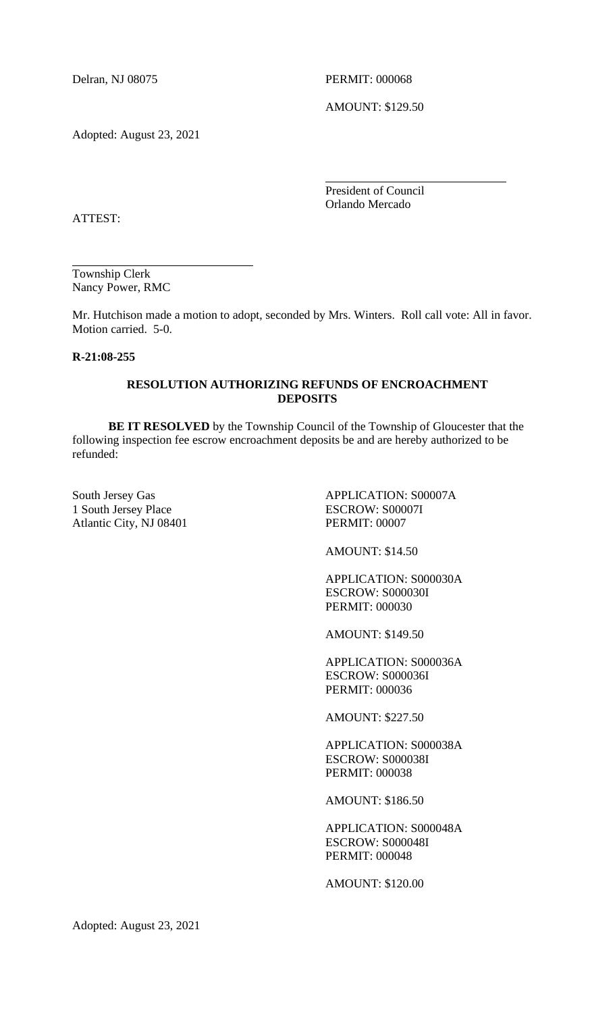Delran, NJ 08075 PERMIT: 000068

AMOUNT: \$129.50

Adopted: August 23, 2021

President of Council Orlando Mercado

l,

ATTEST:

Township Clerk Nancy Power, RMC

Mr. Hutchison made a motion to adopt, seconded by Mrs. Winters. Roll call vote: All in favor. Motion carried. 5-0.

l,

# **R-21:08-255**

### **RESOLUTION AUTHORIZING REFUNDS OF ENCROACHMENT DEPOSITS**

**BE IT RESOLVED** by the Township Council of the Township of Gloucester that the following inspection fee escrow encroachment deposits be and are hereby authorized to be refunded:

1 South Jersey Place ESCROW: S00007I Atlantic City, NJ 08401 PERMIT: 00007

South Jersey Gas APPLICATION: S00007A

AMOUNT: \$14.50

APPLICATION: S000030A ESCROW: S000030I PERMIT: 000030

AMOUNT: \$149.50

APPLICATION: S000036A ESCROW: S000036I PERMIT: 000036

AMOUNT: \$227.50

APPLICATION: S000038A ESCROW: S000038I PERMIT: 000038

AMOUNT: \$186.50

APPLICATION: S000048A ESCROW: S000048I PERMIT: 000048

AMOUNT: \$120.00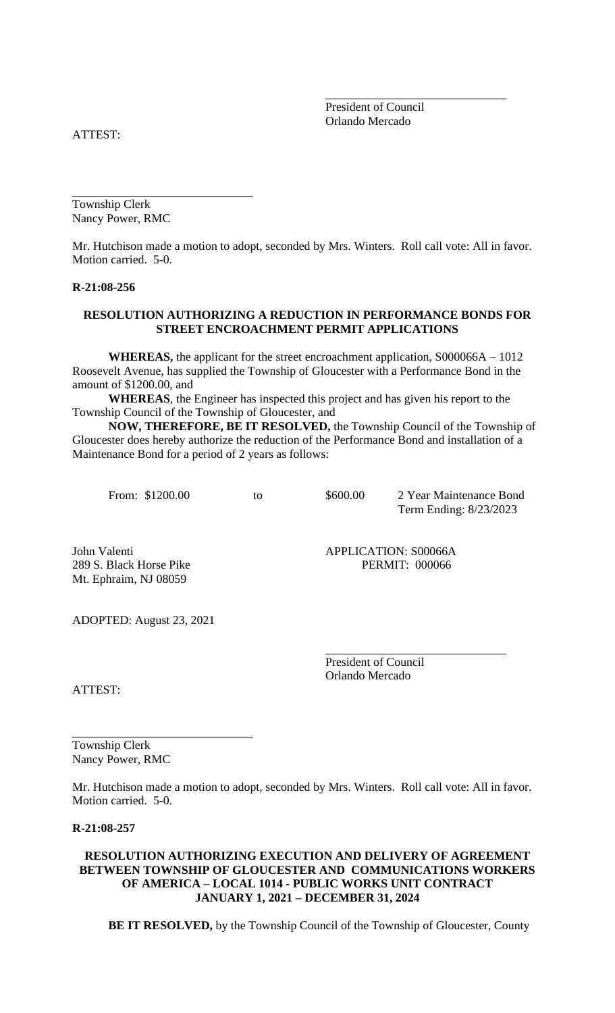President of Council Orlando Mercado

ATTEST:

Township Clerk Nancy Power, RMC

Mr. Hutchison made a motion to adopt, seconded by Mrs. Winters. Roll call vote: All in favor. Motion carried. 5-0.

l,

#### **R-21:08-256**

### **RESOLUTION AUTHORIZING A REDUCTION IN PERFORMANCE BONDS FOR STREET ENCROACHMENT PERMIT APPLICATIONS**

**WHEREAS,** the applicant for the street encroachment application, S000066A – 1012 Roosevelt Avenue, has supplied the Township of Gloucester with a Performance Bond in the amount of \$1200.00, and

**WHEREAS**, the Engineer has inspected this project and has given his report to the Township Council of the Township of Gloucester, and

**NOW, THEREFORE, BE IT RESOLVED,** the Township Council of the Township of Gloucester does hereby authorize the reduction of the Performance Bond and installation of a Maintenance Bond for a period of 2 years as follows:

From: \$1200.00 to \$600.00 2 Year Maintenance Bond Term Ending: 8/23/2023

l,

l,

Mt. Ephraim, NJ 08059

John Valenti **APPLICATION: S00066A** 289 S. Black Horse Pike PERMIT: 000066

ADOPTED: August 23, 2021

President of Council Orlando Mercado

ATTEST:

Township Clerk Nancy Power, RMC

Mr. Hutchison made a motion to adopt, seconded by Mrs. Winters. Roll call vote: All in favor. Motion carried. 5-0.

l,

**R-21:08-257**

### **RESOLUTION AUTHORIZING EXECUTION AND DELIVERY OF AGREEMENT BETWEEN TOWNSHIP OF GLOUCESTER AND COMMUNICATIONS WORKERS OF AMERICA – LOCAL 1014 - PUBLIC WORKS UNIT CONTRACT JANUARY 1, 2021 – DECEMBER 31, 2024**

**BE IT RESOLVED,** by the Township Council of the Township of Gloucester, County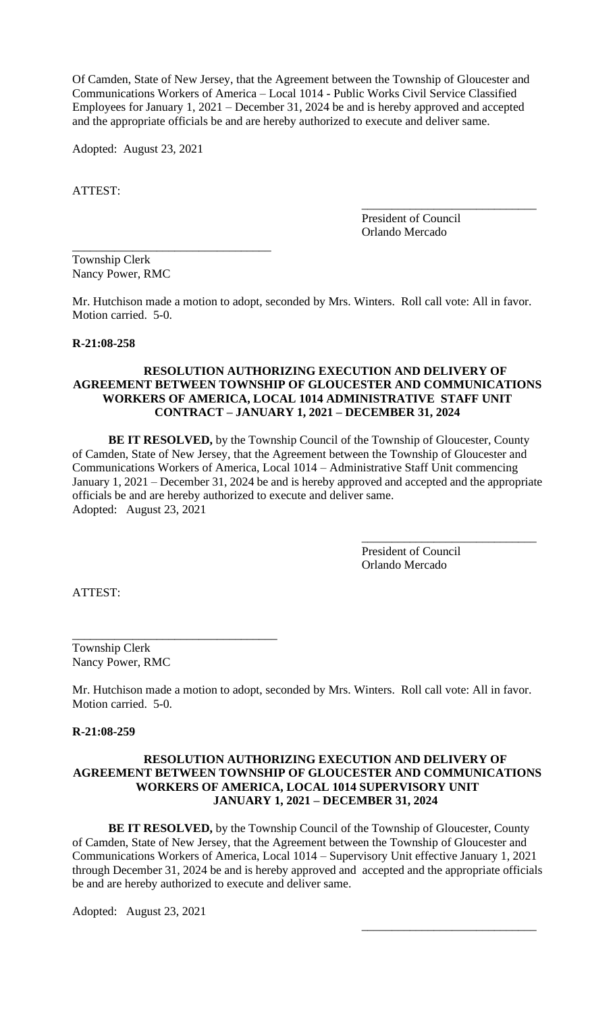Of Camden, State of New Jersey, that the Agreement between the Township of Gloucester and Communications Workers of America – Local 1014 - Public Works Civil Service Classified Employees for January 1, 2021 – December 31, 2024 be and is hereby approved and accepted and the appropriate officials be and are hereby authorized to execute and deliver same.

Adopted: August 23, 2021

\_\_\_\_\_\_\_\_\_\_\_\_\_\_\_\_\_\_\_\_\_\_\_\_\_\_\_\_\_\_\_\_\_

ATTEST:

President of Council Orlando Mercado

\_\_\_\_\_\_\_\_\_\_\_\_\_\_\_\_\_\_\_\_\_\_\_\_\_\_\_\_\_

Township Clerk Nancy Power, RMC

Mr. Hutchison made a motion to adopt, seconded by Mrs. Winters. Roll call vote: All in favor. Motion carried. 5-0.

#### **R-21:08-258**

### **RESOLUTION AUTHORIZING EXECUTION AND DELIVERY OF AGREEMENT BETWEEN TOWNSHIP OF GLOUCESTER AND COMMUNICATIONS WORKERS OF AMERICA, LOCAL 1014 ADMINISTRATIVE STAFF UNIT CONTRACT – JANUARY 1, 2021 – DECEMBER 31, 2024**

**BE IT RESOLVED,** by the Township Council of the Township of Gloucester, County of Camden, State of New Jersey, that the Agreement between the Township of Gloucester and Communications Workers of America, Local 1014 – Administrative Staff Unit commencing January 1, 2021 – December 31, 2024 be and is hereby approved and accepted and the appropriate officials be and are hereby authorized to execute and deliver same. Adopted: August 23, 2021

> President of Council Orlando Mercado

\_\_\_\_\_\_\_\_\_\_\_\_\_\_\_\_\_\_\_\_\_\_\_\_\_\_\_\_\_

\_\_\_\_\_\_\_\_\_\_\_\_\_\_\_\_\_\_\_\_\_\_\_\_\_\_\_\_\_

ATTEST:

Township Clerk Nancy Power, RMC

\_\_\_\_\_\_\_\_\_\_\_\_\_\_\_\_\_\_\_\_\_\_\_\_\_\_\_\_\_\_\_\_\_\_

Mr. Hutchison made a motion to adopt, seconded by Mrs. Winters. Roll call vote: All in favor. Motion carried. 5-0.

**R-21:08-259**

### **RESOLUTION AUTHORIZING EXECUTION AND DELIVERY OF AGREEMENT BETWEEN TOWNSHIP OF GLOUCESTER AND COMMUNICATIONS WORKERS OF AMERICA, LOCAL 1014 SUPERVISORY UNIT JANUARY 1, 2021 – DECEMBER 31, 2024**

**BE IT RESOLVED,** by the Township Council of the Township of Gloucester, County of Camden, State of New Jersey, that the Agreement between the Township of Gloucester and Communications Workers of America, Local 1014 – Supervisory Unit effective January 1, 2021 through December 31, 2024 be and is hereby approved and accepted and the appropriate officials be and are hereby authorized to execute and deliver same.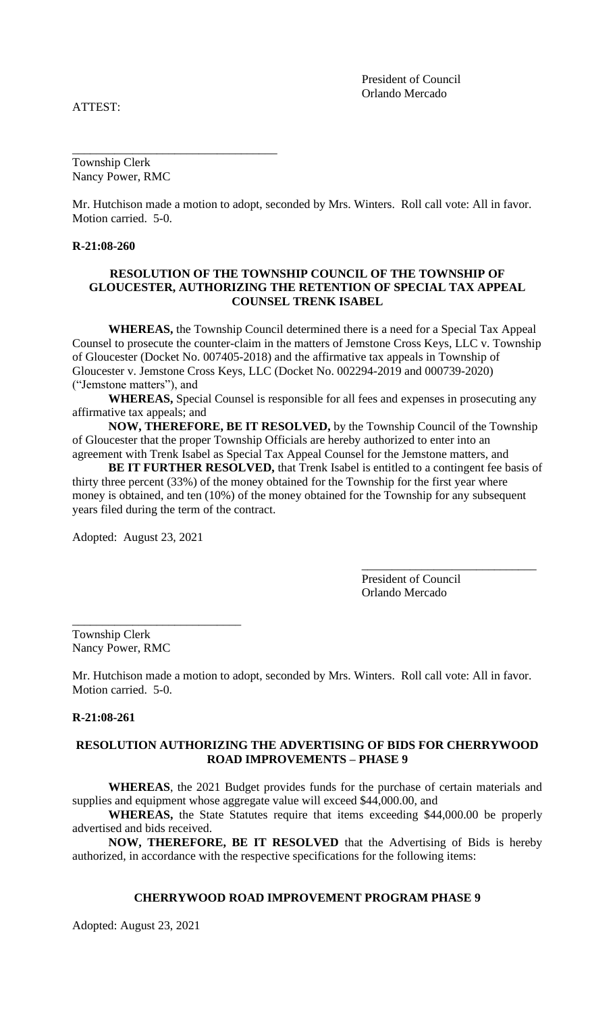ATTEST:

President of Council Orlando Mercado

Township Clerk Nancy Power, RMC

\_\_\_\_\_\_\_\_\_\_\_\_\_\_\_\_\_\_\_\_\_\_\_\_\_\_\_\_\_\_\_\_\_\_

Mr. Hutchison made a motion to adopt, seconded by Mrs. Winters. Roll call vote: All in favor. Motion carried. 5-0.

#### **R-21:08-260**

#### **RESOLUTION OF THE TOWNSHIP COUNCIL OF THE TOWNSHIP OF GLOUCESTER, AUTHORIZING THE RETENTION OF SPECIAL TAX APPEAL COUNSEL TRENK ISABEL**

**WHEREAS,** the Township Council determined there is a need for a Special Tax Appeal Counsel to prosecute the counter-claim in the matters of Jemstone Cross Keys, LLC v. Township of Gloucester (Docket No. 007405-2018) and the affirmative tax appeals in Township of Gloucester v. Jemstone Cross Keys, LLC (Docket No. 002294-2019 and 000739-2020) ("Jemstone matters"), and

**WHEREAS,** Special Counsel is responsible for all fees and expenses in prosecuting any affirmative tax appeals; and

**NOW, THEREFORE, BE IT RESOLVED,** by the Township Council of the Township of Gloucester that the proper Township Officials are hereby authorized to enter into an agreement with Trenk Isabel as Special Tax Appeal Counsel for the Jemstone matters, and

**BE IT FURTHER RESOLVED,** that Trenk Isabel is entitled to a contingent fee basis of thirty three percent (33%) of the money obtained for the Township for the first year where money is obtained, and ten (10%) of the money obtained for the Township for any subsequent years filed during the term of the contract.

Adopted: August 23, 2021

\_\_\_\_\_\_\_\_\_\_\_\_\_\_\_\_\_\_\_\_\_\_\_\_\_\_\_\_

President of Council Orlando Mercado

\_\_\_\_\_\_\_\_\_\_\_\_\_\_\_\_\_\_\_\_\_\_\_\_\_\_\_\_\_

Township Clerk Nancy Power, RMC

Mr. Hutchison made a motion to adopt, seconded by Mrs. Winters. Roll call vote: All in favor. Motion carried. 5-0.

### **R-21:08-261**

# **RESOLUTION AUTHORIZING THE ADVERTISING OF BIDS FOR CHERRYWOOD ROAD IMPROVEMENTS – PHASE 9**

**WHEREAS**, the 2021 Budget provides funds for the purchase of certain materials and supplies and equipment whose aggregate value will exceed \$44,000.00, and

**WHEREAS,** the State Statutes require that items exceeding \$44,000.00 be properly advertised and bids received.

**NOW, THEREFORE, BE IT RESOLVED** that the Advertising of Bids is hereby authorized, in accordance with the respective specifications for the following items:

#### **CHERRYWOOD ROAD IMPROVEMENT PROGRAM PHASE 9**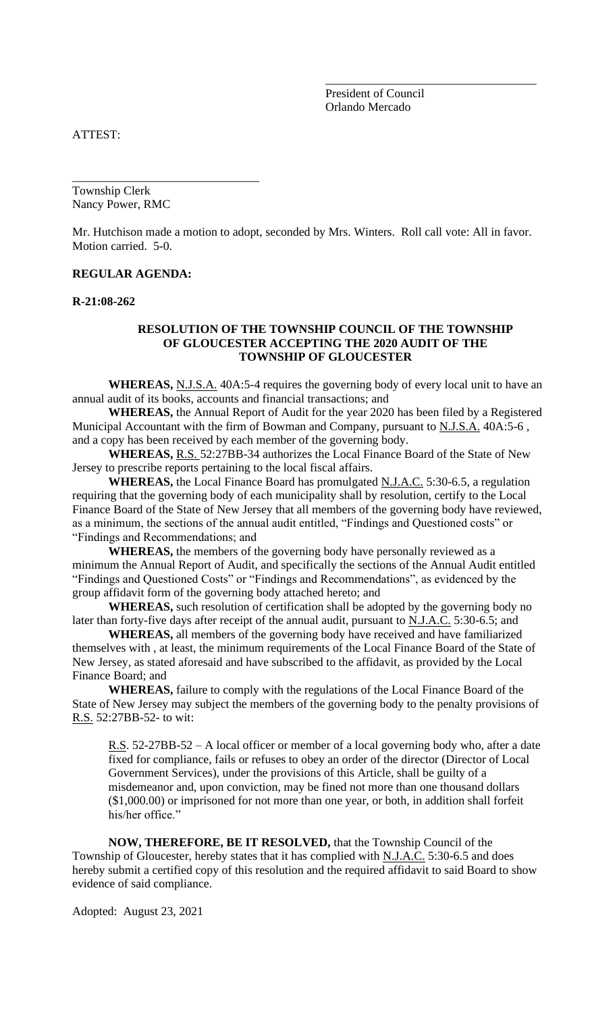President of Council Orlando Mercado

\_\_\_\_\_\_\_\_\_\_\_\_\_\_\_\_\_\_\_\_\_\_\_\_\_\_\_\_\_\_\_\_\_\_\_

ATTEST:

Township Clerk Nancy Power, RMC

\_\_\_\_\_\_\_\_\_\_\_\_\_\_\_\_\_\_\_\_\_\_\_\_\_\_\_\_\_\_\_

Mr. Hutchison made a motion to adopt, seconded by Mrs. Winters. Roll call vote: All in favor. Motion carried. 5-0.

### **REGULAR AGENDA:**

**R-21:08-262**

### **RESOLUTION OF THE TOWNSHIP COUNCIL OF THE TOWNSHIP OF GLOUCESTER ACCEPTING THE 2020 AUDIT OF THE TOWNSHIP OF GLOUCESTER**

**WHEREAS,** N.J.S.A. 40A:5-4 requires the governing body of every local unit to have an annual audit of its books, accounts and financial transactions; and

**WHEREAS,** the Annual Report of Audit for the year 2020 has been filed by a Registered Municipal Accountant with the firm of Bowman and Company, pursuant to N.J.S.A. 40A:5-6, and a copy has been received by each member of the governing body.

**WHEREAS,** R.S. 52:27BB-34 authorizes the Local Finance Board of the State of New Jersey to prescribe reports pertaining to the local fiscal affairs.

WHEREAS, the Local Finance Board has promulgated N.J.A.C. 5:30-6.5, a regulation requiring that the governing body of each municipality shall by resolution, certify to the Local Finance Board of the State of New Jersey that all members of the governing body have reviewed, as a minimum, the sections of the annual audit entitled, "Findings and Questioned costs" or "Findings and Recommendations; and

**WHEREAS,** the members of the governing body have personally reviewed as a minimum the Annual Report of Audit, and specifically the sections of the Annual Audit entitled "Findings and Questioned Costs" or "Findings and Recommendations", as evidenced by the group affidavit form of the governing body attached hereto; and

**WHEREAS,** such resolution of certification shall be adopted by the governing body no later than forty-five days after receipt of the annual audit, pursuant to N.J.A.C. 5:30-6.5; and

**WHEREAS,** all members of the governing body have received and have familiarized themselves with , at least, the minimum requirements of the Local Finance Board of the State of New Jersey, as stated aforesaid and have subscribed to the affidavit, as provided by the Local Finance Board; and

**WHEREAS,** failure to comply with the regulations of the Local Finance Board of the State of New Jersey may subject the members of the governing body to the penalty provisions of R.S. 52:27BB-52- to wit:

R.S. 52-27BB-52 – A local officer or member of a local governing body who, after a date fixed for compliance, fails or refuses to obey an order of the director (Director of Local Government Services), under the provisions of this Article, shall be guilty of a misdemeanor and, upon conviction, may be fined not more than one thousand dollars (\$1,000.00) or imprisoned for not more than one year, or both, in addition shall forfeit his/her office."

**NOW, THEREFORE, BE IT RESOLVED,** that the Township Council of the Township of Gloucester, hereby states that it has complied with N.J.A.C. 5:30-6.5 and does hereby submit a certified copy of this resolution and the required affidavit to said Board to show evidence of said compliance.